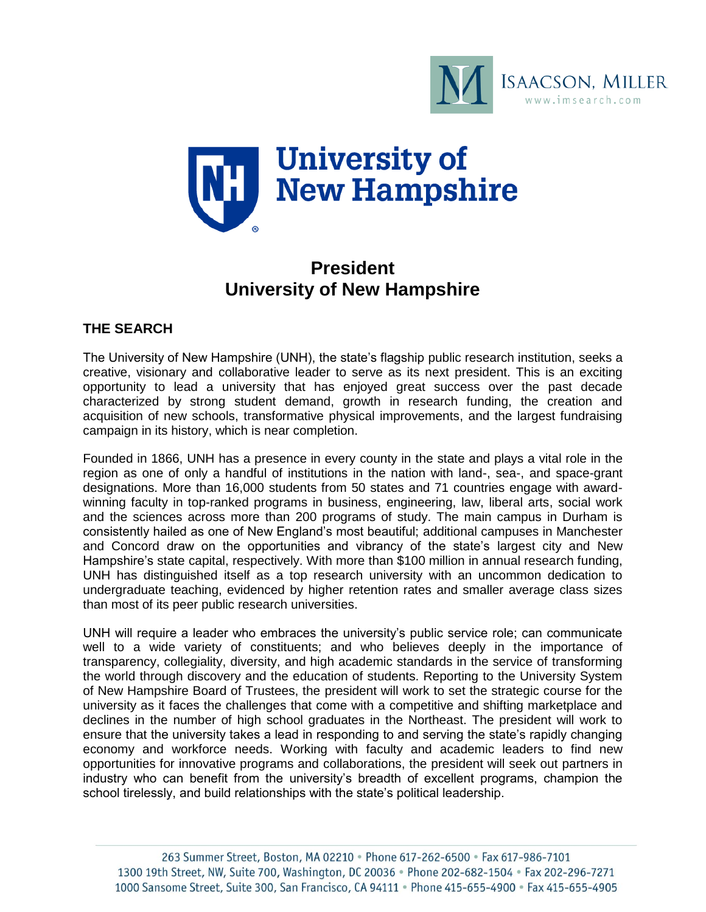



# **President University of New Hampshire**

# **THE SEARCH**

The University of New Hampshire (UNH), the state's flagship public research institution, seeks a creative, visionary and collaborative leader to serve as its next president. This is an exciting opportunity to lead a university that has enjoyed great success over the past decade characterized by strong student demand, growth in research funding, the creation and acquisition of new schools, transformative physical improvements, and the largest fundraising campaign in its history, which is near completion.

Founded in 1866, UNH has a presence in every county in the state and plays a vital role in the region as one of only a handful of institutions in the nation with land-, sea-, and space-grant designations. More than 16,000 students from 50 states and 71 countries engage with awardwinning faculty in top-ranked programs in business, engineering, law, liberal arts, social work and the sciences across more than 200 programs of study. The main campus in Durham is consistently hailed as one of New England's most beautiful; additional campuses in Manchester and Concord draw on the opportunities and vibrancy of the state's largest city and New Hampshire's state capital, respectively. With more than \$100 million in annual research funding, UNH has distinguished itself as a top research university with an uncommon dedication to undergraduate teaching, evidenced by higher retention rates and smaller average class sizes than most of its peer public research universities.

UNH will require a leader who embraces the university's public service role; can communicate well to a wide variety of constituents; and who believes deeply in the importance of transparency, collegiality, diversity, and high academic standards in the service of transforming the world through discovery and the education of students. Reporting to the University System of New Hampshire Board of Trustees, the president will work to set the strategic course for the university as it faces the challenges that come with a competitive and shifting marketplace and declines in the number of high school graduates in the Northeast. The president will work to ensure that the university takes a lead in responding to and serving the state's rapidly changing economy and workforce needs. Working with faculty and academic leaders to find new opportunities for innovative programs and collaborations, the president will seek out partners in industry who can benefit from the university's breadth of excellent programs, champion the school tirelessly, and build relationships with the state's political leadership.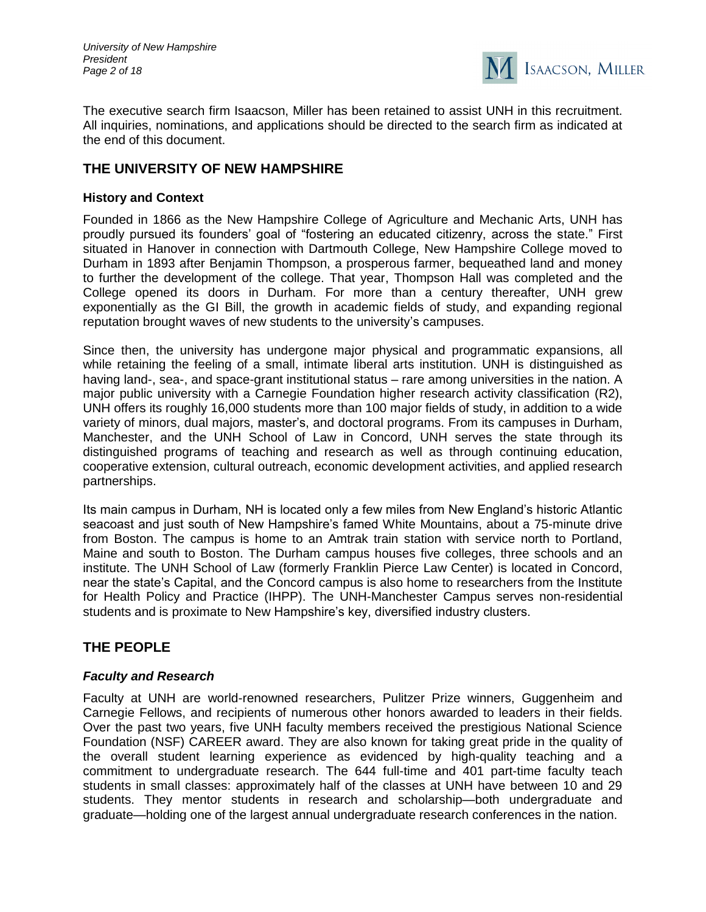

The executive search firm Isaacson, Miller has been retained to assist UNH in this recruitment. All inquiries, nominations, and applications should be directed to the search firm as indicated at the end of this document.

# **THE UNIVERSITY OF NEW HAMPSHIRE**

#### **History and Context**

Founded in 1866 as the New Hampshire College of Agriculture and Mechanic Arts, UNH has proudly pursued its founders' goal of "fostering an educated citizenry, across the state." First situated in Hanover in connection with Dartmouth College, New Hampshire College moved to Durham in 1893 after Benjamin Thompson, a prosperous farmer, bequeathed land and money to further the development of the college. That year, Thompson Hall was completed and the College opened its doors in Durham. For more than a century thereafter, UNH grew exponentially as the GI Bill, the growth in academic fields of study, and expanding regional reputation brought waves of new students to the university's campuses.

Since then, the university has undergone major physical and programmatic expansions, all while retaining the feeling of a small, intimate liberal arts institution. UNH is distinguished as having land-, sea-, and space-grant institutional status – rare among universities in the nation. A major public university with a Carnegie Foundation higher research activity classification (R2), UNH offers its roughly 16,000 students more than 100 major fields of study, in addition to a wide variety of minors, dual majors, master's, and doctoral programs. From its campuses in Durham, Manchester, and the UNH School of Law in Concord, UNH serves the state through its distinguished programs of teaching and research as well as through continuing education, cooperative extension, cultural outreach, economic development activities, and applied research partnerships.

Its main campus in Durham, NH is located only a few miles from New England's historic Atlantic seacoast and just south of New Hampshire's famed White Mountains, about a 75-minute drive from Boston. The campus is home to an Amtrak train station with service north to Portland, Maine and south to Boston. The Durham campus houses five colleges, three schools and an institute. The UNH School of Law (formerly Franklin Pierce Law Center) is located in Concord, near the state's Capital, and the Concord campus is also home to researchers from the Institute for Health Policy and Practice (IHPP). The UNH-Manchester Campus serves non-residential students and is proximate to New Hampshire's key, diversified industry clusters.

# **THE PEOPLE**

#### *Faculty and Research*

Faculty at UNH are world-renowned researchers, Pulitzer Prize winners, Guggenheim and Carnegie Fellows, and recipients of numerous other honors awarded to leaders in their fields. Over the past two years, five UNH faculty members received the prestigious National Science Foundation (NSF) CAREER award. They are also known for taking great pride in the quality of the overall student learning experience as evidenced by high-quality teaching and a commitment to undergraduate research. The 644 full-time and 401 part-time faculty teach students in small classes: approximately half of the classes at UNH have between 10 and 29 students. They mentor students in research and scholarship—both undergraduate and graduate—holding one of the largest annual undergraduate research conferences in the nation.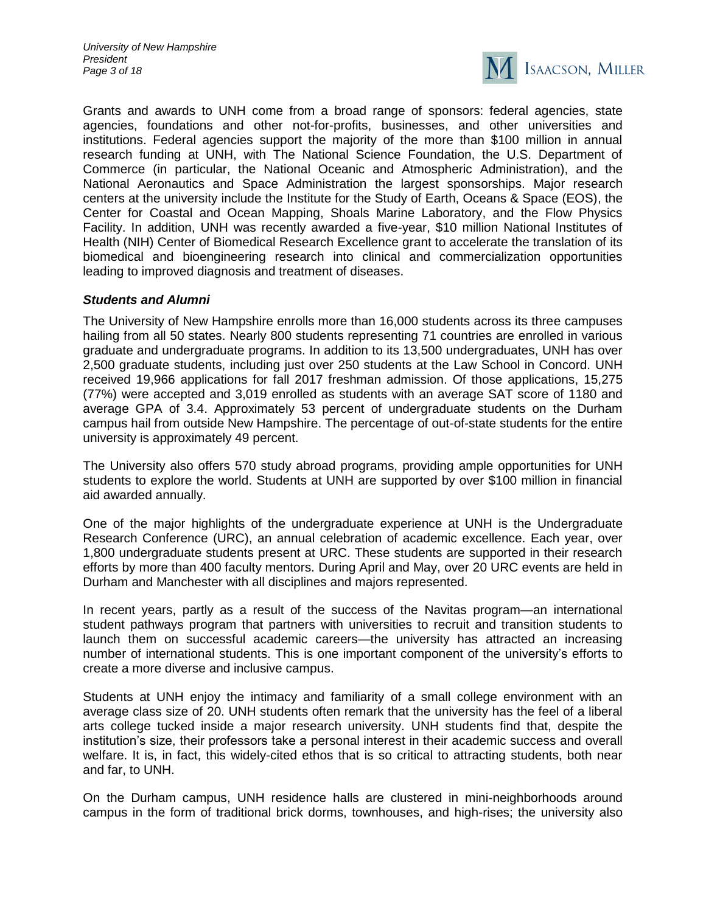*University of New Hampshire President Page 3 of 18*



Grants and awards to UNH come from a broad range of sponsors: federal agencies, state agencies, foundations and other not-for-profits, businesses, and other universities and institutions. Federal agencies support the majority of the more than \$100 million in annual research funding at UNH, with The National Science Foundation, the U.S. Department of Commerce (in particular, the National Oceanic and Atmospheric Administration), and the National Aeronautics and Space Administration the largest sponsorships. Major research centers at the university include the Institute for the Study of Earth, Oceans & Space (EOS), the Center for Coastal and Ocean Mapping, Shoals Marine Laboratory, and the Flow Physics Facility. In addition, UNH was recently awarded a five-year, \$10 million National Institutes of Health (NIH) Center of Biomedical Research Excellence grant to accelerate the translation of its biomedical and bioengineering research into clinical and commercialization opportunities leading to improved diagnosis and treatment of diseases.

#### *Students and Alumni*

The University of New Hampshire enrolls more than 16,000 students across its three campuses hailing from all 50 states. Nearly 800 students representing 71 countries are enrolled in various graduate and undergraduate programs. In addition to its 13,500 undergraduates, UNH has over 2,500 graduate students, including just over 250 students at the Law School in Concord. UNH received 19,966 applications for fall 2017 freshman admission. Of those applications, 15,275 (77%) were accepted and 3,019 enrolled as students with an average SAT score of 1180 and average GPA of 3.4. Approximately 53 percent of undergraduate students on the Durham campus hail from outside New Hampshire. The percentage of out-of-state students for the entire university is approximately 49 percent.

The University also offers 570 study abroad programs, providing ample opportunities for UNH students to explore the world. Students at UNH are supported by over \$100 million in financial aid awarded annually.

One of the major highlights of the undergraduate experience at UNH is the Undergraduate Research Conference (URC), an annual celebration of academic excellence. Each year, over 1,800 undergraduate students present at URC. These students are supported in their research efforts by more than 400 faculty mentors. During April and May, over 20 URC events are held in Durham and Manchester with all disciplines and majors represented.

In recent years, partly as a result of the success of the Navitas program—an international student pathways program that partners with universities to recruit and transition students to launch them on successful academic careers—the university has attracted an increasing number of international students. This is one important component of the university's efforts to create a more diverse and inclusive campus.

Students at UNH enjoy the intimacy and familiarity of a small college environment with an average class size of 20. UNH students often remark that the university has the feel of a liberal arts college tucked inside a major research university. UNH students find that, despite the institution's size, their professors take a personal interest in their academic success and overall welfare. It is, in fact, this widely-cited ethos that is so critical to attracting students, both near and far, to UNH.

On the Durham campus, UNH residence halls are clustered in mini-neighborhoods around campus in the form of traditional brick dorms, townhouses, and high-rises; the university also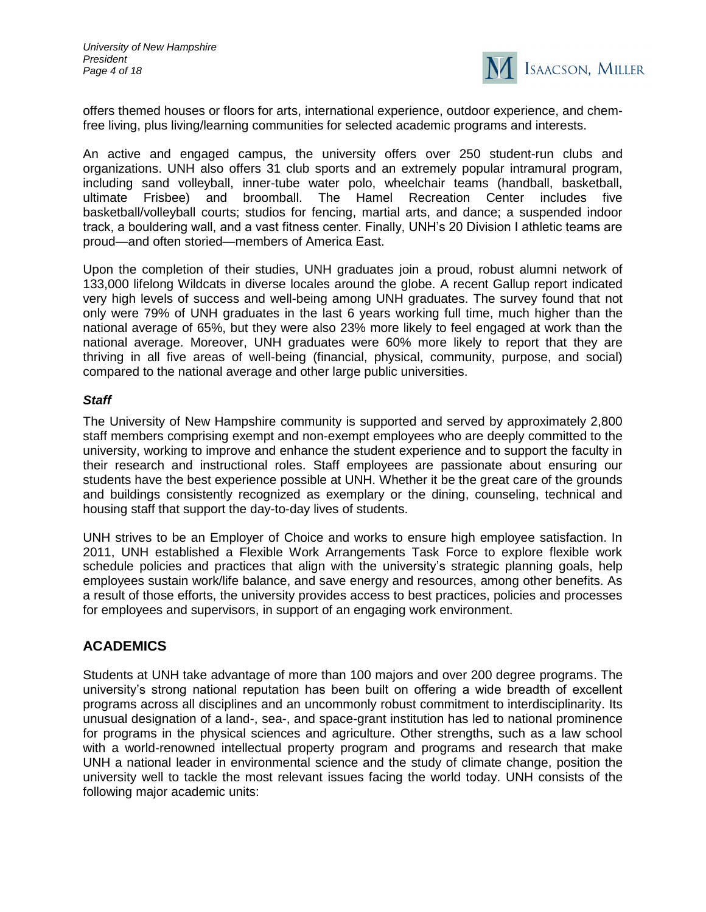

offers themed houses or floors for arts, international experience, outdoor experience, and chemfree living, plus living/learning communities for selected academic programs and interests.

An active and engaged campus, the university offers over 250 student-run clubs and organizations. UNH also offers 31 club sports and an extremely popular intramural program, including sand volleyball, inner-tube water polo, wheelchair teams (handball, basketball, ultimate Frisbee) and broomball. The Hamel Recreation Center includes five basketball/volleyball courts; studios for fencing, martial arts, and dance; a suspended indoor track, a bouldering wall, and a vast fitness center. Finally, UNH's 20 Division I athletic teams are proud—and often storied—members of America East.

Upon the completion of their studies, UNH graduates join a proud, robust alumni network of 133,000 lifelong Wildcats in diverse locales around the globe. A recent Gallup report indicated very high levels of success and well-being among UNH graduates. The survey found that not only were 79% of UNH graduates in the last 6 years working full time, much higher than the national average of 65%, but they were also 23% more likely to feel engaged at work than the national average. Moreover, UNH graduates were 60% more likely to report that they are thriving in all five areas of well-being (financial, physical, community, purpose, and social) compared to the national average and other large public universities.

#### *Staff*

The University of New Hampshire community is supported and served by approximately 2,800 staff members comprising exempt and non-exempt employees who are deeply committed to the university, working to improve and enhance the student experience and to support the faculty in their research and instructional roles. Staff employees are passionate about ensuring our students have the best experience possible at UNH. Whether it be the great care of the grounds and buildings consistently recognized as exemplary or the dining, counseling, technical and housing staff that support the day-to-day lives of students.

UNH strives to be an Employer of Choice and works to ensure high employee satisfaction. In 2011, UNH established a Flexible Work Arrangements Task Force to explore flexible work schedule policies and practices that align with the university's strategic planning goals, help employees sustain work/life balance, and save energy and resources, among other benefits. As a result of those efforts, the university provides access to best practices, policies and processes for employees and supervisors, in support of an engaging work environment.

# **ACADEMICS**

Students at UNH take advantage of more than 100 majors and over 200 degree programs. The university's strong national reputation has been built on offering a wide breadth of excellent programs across all disciplines and an uncommonly robust commitment to interdisciplinarity. Its unusual designation of a land-, sea-, and space-grant institution has led to national prominence for programs in the physical sciences and agriculture. Other strengths, such as a law school with a world-renowned intellectual property program and programs and research that make UNH a national leader in environmental science and the study of climate change, position the university well to tackle the most relevant issues facing the world today. UNH consists of the following major academic units: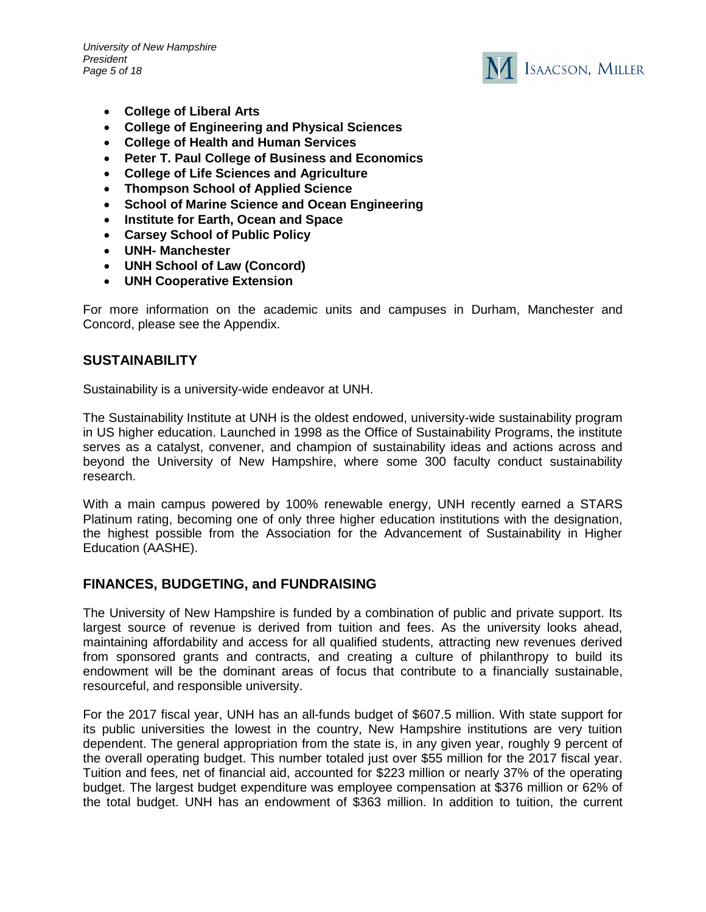*University of New Hampshire President Page 5 of 18*



- **College of Liberal Arts**
- **College of Engineering and Physical Sciences**
- **College of Health and Human Services**
- **Peter T. Paul College of Business and Economics**
- **College of Life Sciences and Agriculture**
- **Thompson School of Applied Science**
- **School of Marine Science and Ocean Engineering**
- **Institute for Earth, Ocean and Space**
- **Carsey School of Public Policy**
- **UNH- Manchester**
- **UNH School of Law (Concord)**
- **UNH Cooperative Extension**

For more information on the academic units and campuses in Durham, Manchester and Concord, please see the Appendix.

# **SUSTAINABILITY**

Sustainability is a university-wide endeavor at UNH.

The Sustainability Institute at UNH is the oldest endowed, university-wide sustainability program in US higher education. Launched in 1998 as the Office of Sustainability Programs, the institute serves as a catalyst, convener, and champion of sustainability ideas and actions across and beyond the University of New Hampshire, where some 300 faculty conduct sustainability research.

With a main campus powered by 100% renewable energy, UNH recently earned a STARS Platinum rating, becoming one of only three higher education institutions with the designation, the highest possible from the Association for the Advancement of Sustainability in Higher Education (AASHE).

# **FINANCES, BUDGETING, and FUNDRAISING**

The University of New Hampshire is funded by a combination of public and private support. Its largest source of revenue is derived from tuition and fees. As the university looks ahead, maintaining affordability and access for all qualified students, attracting new revenues derived from sponsored grants and contracts, and creating a culture of philanthropy to build its endowment will be the dominant areas of focus that contribute to a financially sustainable, resourceful, and responsible university.

For the 2017 fiscal year, UNH has an all-funds budget of \$607.5 million. With state support for its public universities the lowest in the country, New Hampshire institutions are very tuition dependent. The general appropriation from the state is, in any given year, roughly 9 percent of the overall operating budget. This number totaled just over \$55 million for the 2017 fiscal year. Tuition and fees, net of financial aid, accounted for \$223 million or nearly 37% of the operating budget. The largest budget expenditure was employee compensation at \$376 million or 62% of the total budget. UNH has an endowment of \$363 million. In addition to tuition, the current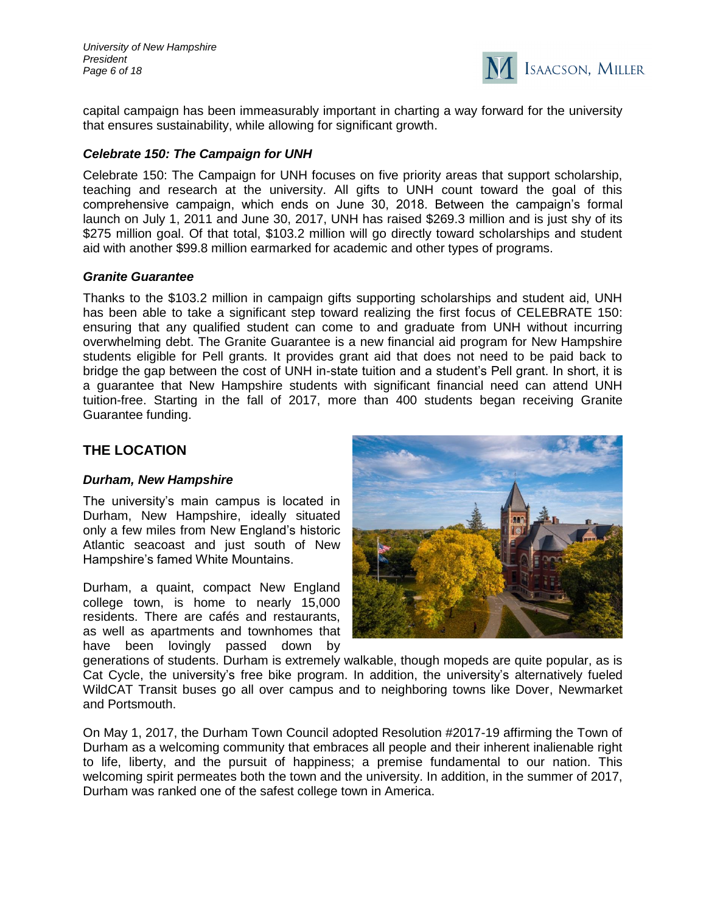*University of New Hampshire President Page 6 of 18*



capital campaign has been immeasurably important in charting a way forward for the university that ensures sustainability, while allowing for significant growth.

#### *Celebrate 150: The Campaign for UNH*

Celebrate 150: The Campaign for UNH focuses on five priority areas that support scholarship, teaching and research at the university. All gifts to UNH count toward the goal of this comprehensive campaign, which ends on June 30, 2018. Between the campaign's formal launch on July 1, 2011 and June 30, 2017, UNH has raised \$269.3 million and is just shy of its \$275 million goal. Of that total, \$103.2 million will go directly toward scholarships and student aid with another \$99.8 million earmarked for academic and other types of programs.

#### *Granite Guarantee*

Thanks to the \$103.2 million in campaign gifts supporting scholarships and student aid, UNH has been able to take a significant step toward realizing the first focus of CELEBRATE 150: ensuring that any qualified student can come to and graduate from UNH without incurring overwhelming debt. The Granite Guarantee is a new financial aid program for New Hampshire students eligible for Pell grants. It provides grant aid that does not need to be paid back to bridge the gap between the cost of UNH in-state tuition and a student's Pell grant. In short, it is a guarantee that New Hampshire students with significant financial need can attend UNH tuition-free. Starting in the fall of 2017, more than 400 students began receiving Granite Guarantee funding.

# **THE LOCATION**

#### *Durham, New Hampshire*

The university's main campus is located in Durham, New Hampshire, ideally situated only a few miles from New England's historic Atlantic seacoast and just south of New Hampshire's famed White Mountains.

Durham, a quaint, compact New England college town, is home to nearly 15,000 residents. There are cafés and restaurants, as well as apartments and townhomes that have been lovingly passed down by



generations of students. Durham is extremely walkable, though mopeds are quite popular, as is Cat Cycle, the university's free bike program. In addition, the university's alternatively fueled WildCAT Transit buses go all over campus and to neighboring towns like Dover, Newmarket and Portsmouth.

On May 1, 2017, the Durham Town Council adopted Resolution #2017-19 affirming the Town of Durham as a welcoming community that embraces all people and their inherent inalienable right to life, liberty, and the pursuit of happiness; a premise fundamental to our nation. This welcoming spirit permeates both the town and the university. In addition, in the summer of 2017, Durham was ranked one of the safest college town in America.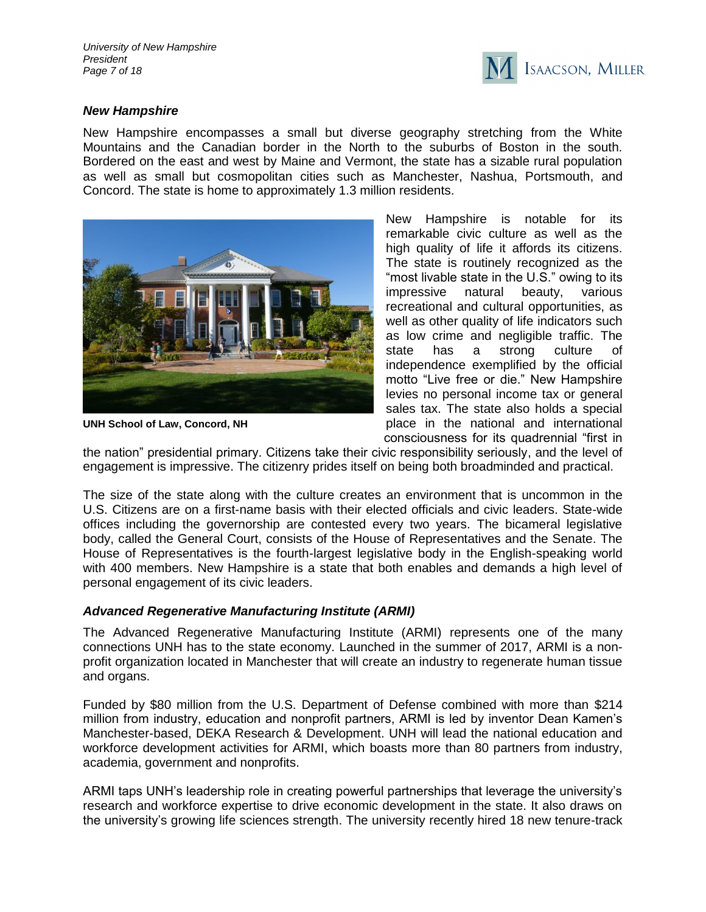

#### *New Hampshire*

New Hampshire encompasses a small but diverse geography stretching from the White Mountains and the Canadian border in the North to the suburbs of Boston in the south. Bordered on the east and west by Maine and Vermont, the state has a sizable rural population as well as small but cosmopolitan cities such as Manchester, Nashua, Portsmouth, and Concord. The state is home to approximately 1.3 million residents.



**UNH School of Law, Concord, NH**

New Hampshire is notable for its remarkable civic culture as well as the high quality of life it affords its citizens. The state is routinely recognized as the "most livable state in the U.S." owing to its impressive natural beauty, various recreational and cultural opportunities, as well as other quality of life indicators such as low crime and negligible traffic. The state has a strong culture of independence exemplified by the official motto "Live free or die." New Hampshire levies no personal income tax or general sales tax. The state also holds a special place in the national and international consciousness for its quadrennial "first in

the nation" presidential primary. Citizens take their civic responsibility seriously, and the level of engagement is impressive. The citizenry prides itself on being both broadminded and practical.

The size of the state along with the culture creates an environment that is uncommon in the U.S. Citizens are on a first-name basis with their elected officials and civic leaders. State-wide offices including the governorship are contested every two years. The bicameral legislative body, called the General Court, consists of the House of Representatives and the Senate. The House of Representatives is the fourth-largest legislative body in the English-speaking world with 400 members. New Hampshire is a state that both enables and demands a high level of personal engagement of its civic leaders.

# *Advanced Regenerative Manufacturing Institute (ARMI)*

The Advanced Regenerative Manufacturing Institute (ARMI) represents one of the many connections UNH has to the state economy. Launched in the summer of 2017, ARMI is a nonprofit organization located in Manchester that will create an industry to regenerate human tissue and organs.

Funded by \$80 million from the U.S. Department of Defense combined with more than \$214 million from industry, education and nonprofit partners, ARMI is led by inventor Dean Kamen's Manchester-based, DEKA Research & Development. UNH will lead the national education and workforce development activities for ARMI, which boasts more than 80 partners from industry, academia, government and nonprofits.

ARMI taps UNH's leadership role in creating powerful partnerships that leverage the university's research and workforce expertise to drive economic development in the state. It also draws on the university's growing life sciences strength. The university recently hired 18 new tenure-track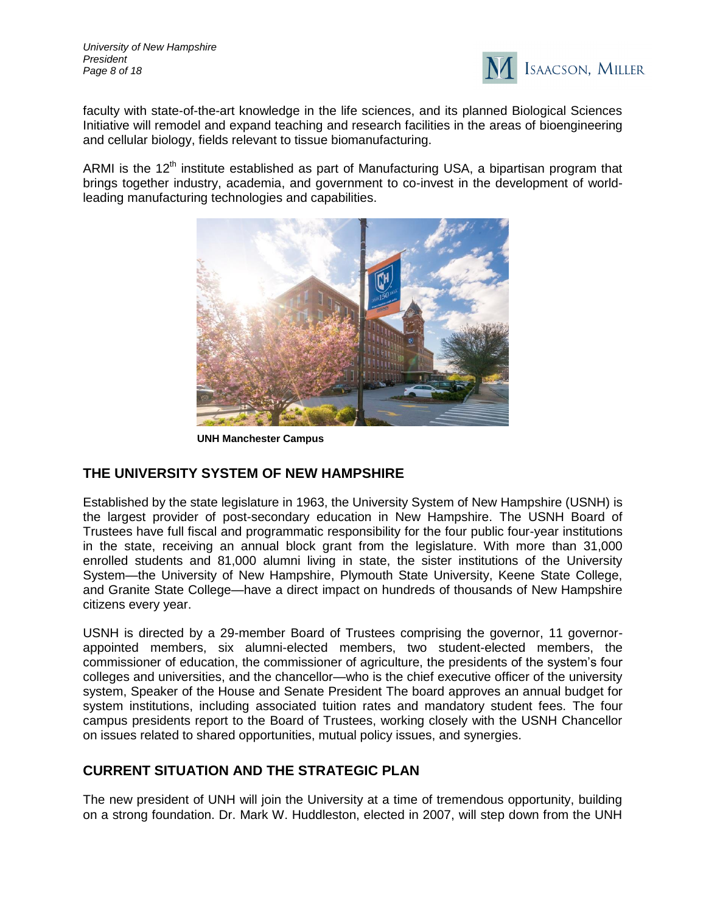

faculty with state-of-the-art knowledge in the life sciences, and its planned Biological Sciences Initiative will remodel and expand teaching and research facilities in the areas of bioengineering and cellular biology, fields relevant to tissue biomanufacturing.

ARMI is the  $12<sup>th</sup>$  institute established as part of Manufacturing USA, a bipartisan program that brings together industry, academia, and government to co-invest in the development of worldleading manufacturing technologies and capabilities.



**UNH Manchester Campus**

# **THE UNIVERSITY SYSTEM OF NEW HAMPSHIRE**

Established by the state legislature in 1963, the University System of New Hampshire (USNH) is the largest provider of post-secondary education in New Hampshire. The USNH Board of Trustees have full fiscal and programmatic responsibility for the four public four-year institutions in the state, receiving an annual block grant from the legislature. With more than 31,000 enrolled students and 81,000 alumni living in state, the sister institutions of the University System—the University of New Hampshire, Plymouth State University, Keene State College, and Granite State College—have a direct impact on hundreds of thousands of New Hampshire citizens every year.

USNH is directed by a 29-member Board of Trustees comprising the governor, 11 governorappointed members, six alumni-elected members, two student-elected members, the commissioner of education, the commissioner of agriculture, the presidents of the system's four colleges and universities, and the chancellor—who is the chief executive officer of the university system, Speaker of the House and Senate President The board approves an annual budget for system institutions, including associated tuition rates and mandatory student fees. The four campus presidents report to the Board of Trustees, working closely with the USNH Chancellor on issues related to shared opportunities, mutual policy issues, and synergies.

# **CURRENT SITUATION AND THE STRATEGIC PLAN**

The new president of UNH will join the University at a time of tremendous opportunity, building on a strong foundation. Dr. Mark W. Huddleston, elected in 2007, will step down from the UNH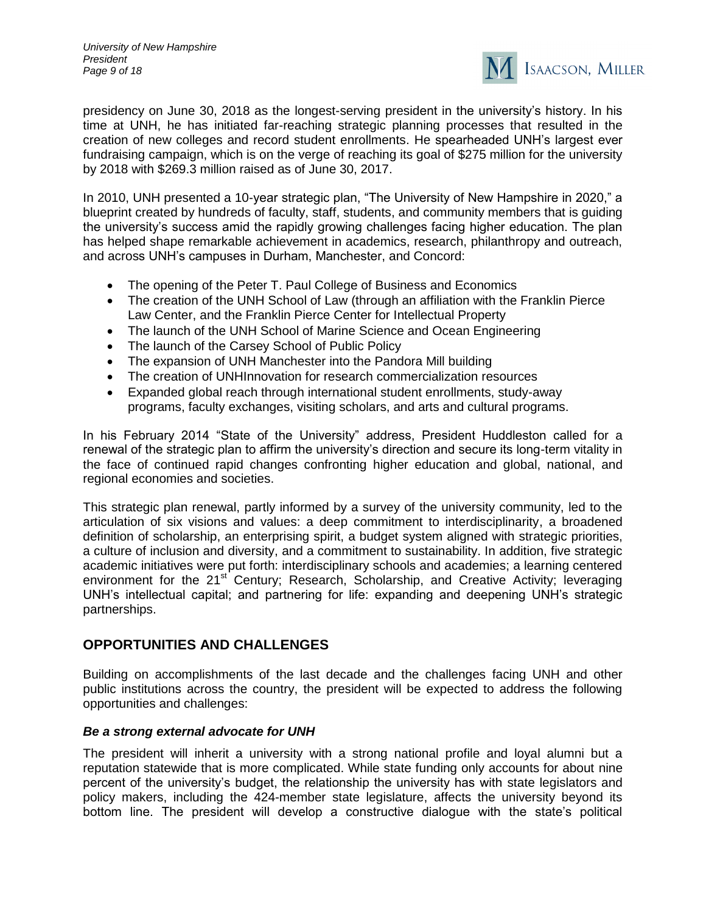

presidency on June 30, 2018 as the longest-serving president in the university's history. In his time at UNH, he has initiated far-reaching strategic planning processes that resulted in the creation of new colleges and record student enrollments. He spearheaded UNH's largest ever fundraising campaign, which is on the verge of reaching its goal of \$275 million for the university by 2018 with \$269.3 million raised as of June 30, 2017.

In 2010, UNH presented a 10-year strategic plan, "The University of New Hampshire in 2020," a blueprint created by hundreds of faculty, staff, students, and community members that is guiding the university's success amid the rapidly growing challenges facing higher education. The plan has helped shape remarkable achievement in academics, research, philanthropy and outreach, and across UNH's campuses in Durham, Manchester, and Concord:

- The opening of the Peter T. Paul College of Business and Economics
- The creation of the UNH School of Law (through an affiliation with the Franklin Pierce Law Center, and the Franklin Pierce Center for Intellectual Property
- The launch of the UNH School of Marine Science and Ocean Engineering
- The launch of the Carsey School of Public Policy
- The expansion of UNH Manchester into the Pandora Mill building
- The creation of UNHInnovation for research commercialization resources
- Expanded global reach through international student enrollments, study-away programs, faculty exchanges, visiting scholars, and arts and cultural programs.

In his February 2014 "State of the University" address, President Huddleston called for a renewal of the strategic plan to affirm the university's direction and secure its long-term vitality in the face of continued rapid changes confronting higher education and global, national, and regional economies and societies.

This strategic plan renewal, partly informed by a survey of the university community, led to the articulation of six visions and values: a deep commitment to interdisciplinarity, a broadened definition of scholarship, an enterprising spirit, a budget system aligned with strategic priorities, a culture of inclusion and diversity, and a commitment to sustainability. In addition, five strategic academic initiatives were put forth: interdisciplinary schools and academies; a learning centered environment for the  $21^{st}$  Century; Research, Scholarship, and Creative Activity; leveraging UNH's intellectual capital; and partnering for life: expanding and deepening UNH's strategic partnerships.

# **OPPORTUNITIES AND CHALLENGES**

Building on accomplishments of the last decade and the challenges facing UNH and other public institutions across the country, the president will be expected to address the following opportunities and challenges:

# *Be a strong external advocate for UNH*

The president will inherit a university with a strong national profile and loyal alumni but a reputation statewide that is more complicated. While state funding only accounts for about nine percent of the university's budget, the relationship the university has with state legislators and policy makers, including the 424-member state legislature, affects the university beyond its bottom line. The president will develop a constructive dialogue with the state's political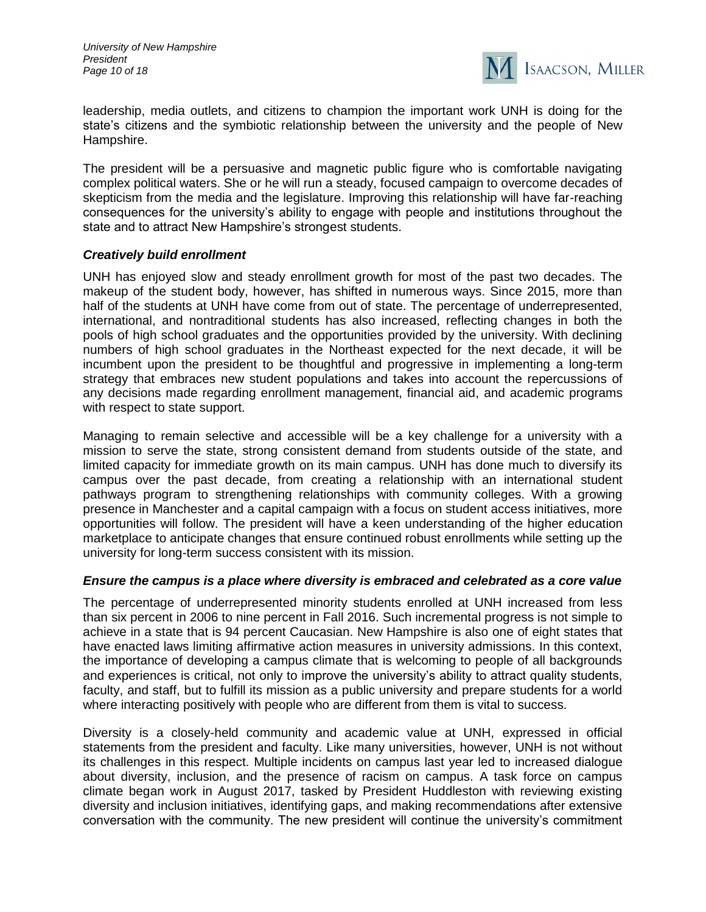

leadership, media outlets, and citizens to champion the important work UNH is doing for the state's citizens and the symbiotic relationship between the university and the people of New Hampshire.

The president will be a persuasive and magnetic public figure who is comfortable navigating complex political waters. She or he will run a steady, focused campaign to overcome decades of skepticism from the media and the legislature. Improving this relationship will have far-reaching consequences for the university's ability to engage with people and institutions throughout the state and to attract New Hampshire's strongest students.

#### *Creatively build enrollment*

UNH has enjoyed slow and steady enrollment growth for most of the past two decades. The makeup of the student body, however, has shifted in numerous ways. Since 2015, more than half of the students at UNH have come from out of state. The percentage of underrepresented, international, and nontraditional students has also increased, reflecting changes in both the pools of high school graduates and the opportunities provided by the university. With declining numbers of high school graduates in the Northeast expected for the next decade, it will be incumbent upon the president to be thoughtful and progressive in implementing a long-term strategy that embraces new student populations and takes into account the repercussions of any decisions made regarding enrollment management, financial aid, and academic programs with respect to state support.

Managing to remain selective and accessible will be a key challenge for a university with a mission to serve the state, strong consistent demand from students outside of the state, and limited capacity for immediate growth on its main campus. UNH has done much to diversify its campus over the past decade, from creating a relationship with an international student pathways program to strengthening relationships with community colleges. With a growing presence in Manchester and a capital campaign with a focus on student access initiatives, more opportunities will follow. The president will have a keen understanding of the higher education marketplace to anticipate changes that ensure continued robust enrollments while setting up the university for long-term success consistent with its mission.

#### *Ensure the campus is a place where diversity is embraced and celebrated as a core value*

The percentage of underrepresented minority students enrolled at UNH increased from less than six percent in 2006 to nine percent in Fall 2016. Such incremental progress is not simple to achieve in a state that is 94 percent Caucasian. New Hampshire is also one of eight states that have enacted laws limiting affirmative action measures in university admissions. In this context, the importance of developing a campus climate that is welcoming to people of all backgrounds and experiences is critical, not only to improve the university's ability to attract quality students, faculty, and staff, but to fulfill its mission as a public university and prepare students for a world where interacting positively with people who are different from them is vital to success.

Diversity is a closely-held community and academic value at UNH, expressed in official statements from the president and faculty. Like many universities, however, UNH is not without its challenges in this respect. Multiple incidents on campus last year led to increased dialogue about diversity, inclusion, and the presence of racism on campus. A task force on campus climate began work in August 2017, tasked by President Huddleston with reviewing existing diversity and inclusion initiatives, identifying gaps, and making recommendations after extensive conversation with the community. The new president will continue the university's commitment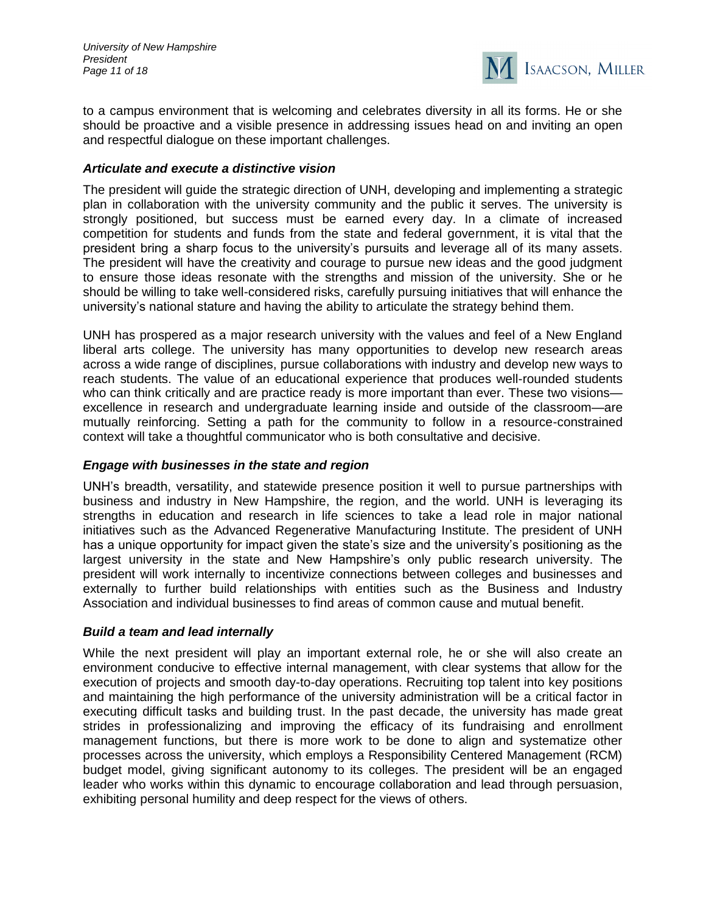*University of New Hampshire President Page 11 of 18*



to a campus environment that is welcoming and celebrates diversity in all its forms. He or she should be proactive and a visible presence in addressing issues head on and inviting an open and respectful dialogue on these important challenges.

#### *Articulate and execute a distinctive vision*

The president will guide the strategic direction of UNH, developing and implementing a strategic plan in collaboration with the university community and the public it serves. The university is strongly positioned, but success must be earned every day. In a climate of increased competition for students and funds from the state and federal government, it is vital that the president bring a sharp focus to the university's pursuits and leverage all of its many assets. The president will have the creativity and courage to pursue new ideas and the good judgment to ensure those ideas resonate with the strengths and mission of the university. She or he should be willing to take well-considered risks, carefully pursuing initiatives that will enhance the university's national stature and having the ability to articulate the strategy behind them.

UNH has prospered as a major research university with the values and feel of a New England liberal arts college. The university has many opportunities to develop new research areas across a wide range of disciplines, pursue collaborations with industry and develop new ways to reach students. The value of an educational experience that produces well-rounded students who can think critically and are practice ready is more important than ever. These two visions excellence in research and undergraduate learning inside and outside of the classroom—are mutually reinforcing. Setting a path for the community to follow in a resource-constrained context will take a thoughtful communicator who is both consultative and decisive.

#### *Engage with businesses in the state and region*

UNH's breadth, versatility, and statewide presence position it well to pursue partnerships with business and industry in New Hampshire, the region, and the world. UNH is leveraging its strengths in education and research in life sciences to take a lead role in major national initiatives such as the Advanced Regenerative Manufacturing Institute. The president of UNH has a unique opportunity for impact given the state's size and the university's positioning as the largest university in the state and New Hampshire's only public research university. The president will work internally to incentivize connections between colleges and businesses and externally to further build relationships with entities such as the Business and Industry Association and individual businesses to find areas of common cause and mutual benefit.

#### *Build a team and lead internally*

While the next president will play an important external role, he or she will also create an environment conducive to effective internal management, with clear systems that allow for the execution of projects and smooth day-to-day operations. Recruiting top talent into key positions and maintaining the high performance of the university administration will be a critical factor in executing difficult tasks and building trust. In the past decade, the university has made great strides in professionalizing and improving the efficacy of its fundraising and enrollment management functions, but there is more work to be done to align and systematize other processes across the university, which employs a Responsibility Centered Management (RCM) budget model, giving significant autonomy to its colleges. The president will be an engaged leader who works within this dynamic to encourage collaboration and lead through persuasion, exhibiting personal humility and deep respect for the views of others.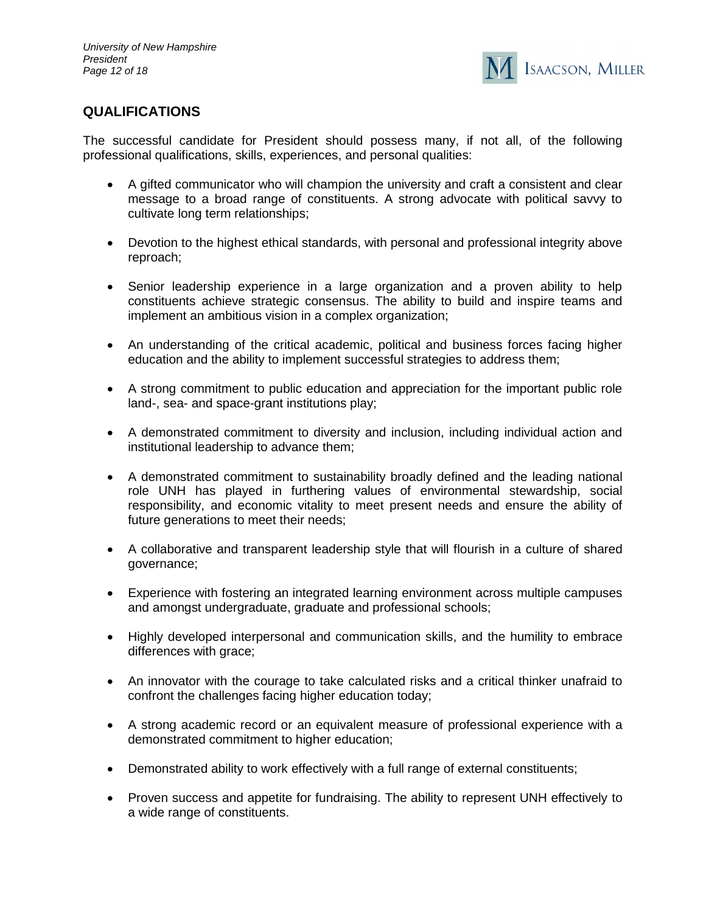

# **QUALIFICATIONS**

The successful candidate for President should possess many, if not all, of the following professional qualifications, skills, experiences, and personal qualities:

- A gifted communicator who will champion the university and craft a consistent and clear message to a broad range of constituents. A strong advocate with political savvy to cultivate long term relationships;
- Devotion to the highest ethical standards, with personal and professional integrity above reproach;
- Senior leadership experience in a large organization and a proven ability to help constituents achieve strategic consensus. The ability to build and inspire teams and implement an ambitious vision in a complex organization;
- An understanding of the critical academic, political and business forces facing higher education and the ability to implement successful strategies to address them;
- A strong commitment to public education and appreciation for the important public role land-, sea- and space-grant institutions play;
- A demonstrated commitment to diversity and inclusion, including individual action and institutional leadership to advance them;
- A demonstrated commitment to sustainability broadly defined and the leading national role UNH has played in furthering values of environmental stewardship, social responsibility, and economic vitality to meet present needs and ensure the ability of future generations to meet their needs;
- A collaborative and transparent leadership style that will flourish in a culture of shared governance;
- Experience with fostering an integrated learning environment across multiple campuses and amongst undergraduate, graduate and professional schools;
- Highly developed interpersonal and communication skills, and the humility to embrace differences with grace;
- An innovator with the courage to take calculated risks and a critical thinker unafraid to confront the challenges facing higher education today;
- A strong academic record or an equivalent measure of professional experience with a demonstrated commitment to higher education;
- Demonstrated ability to work effectively with a full range of external constituents;
- Proven success and appetite for fundraising. The ability to represent UNH effectively to a wide range of constituents.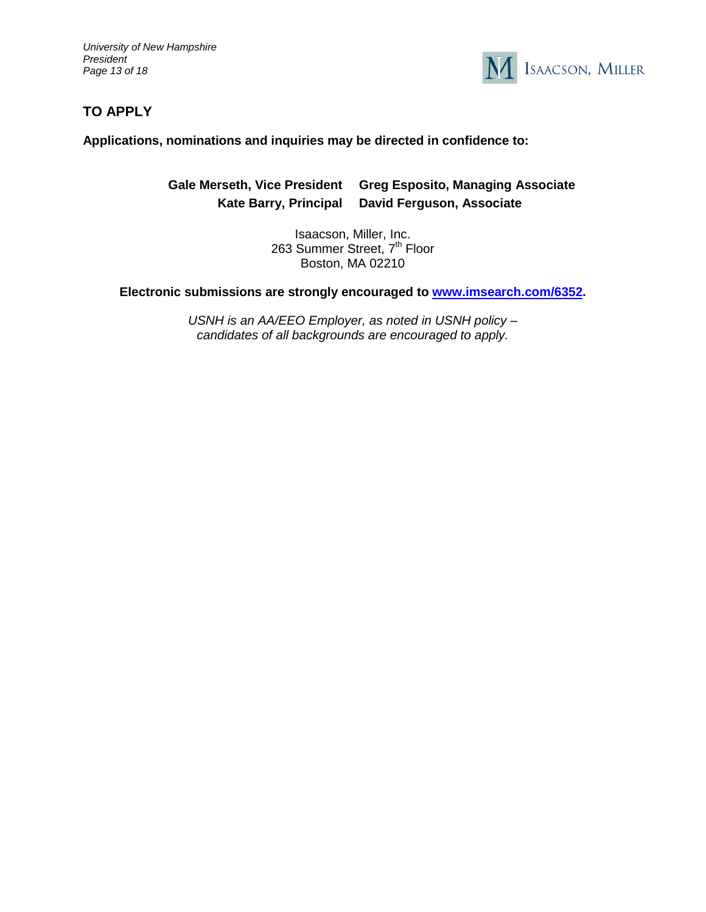*University of New Hampshire President Page 13 of 18*



# **TO APPLY**

**Applications, nominations and inquiries may be directed in confidence to:** 

**Gale Merseth, Vice President Greg Esposito, Managing Associate Kate Barry, Principal David Ferguson, Associate**

> Isaacson, Miller, Inc. 263 Summer Street, 7<sup>th</sup> Floor Boston, MA 02210

**Electronic submissions are strongly encouraged to [www.imsearch.com/6352.](http://www.imsearch.com/6352)**

*USNH is an AA/EEO Employer, as noted in USNH policy – candidates of all backgrounds are encouraged to apply.*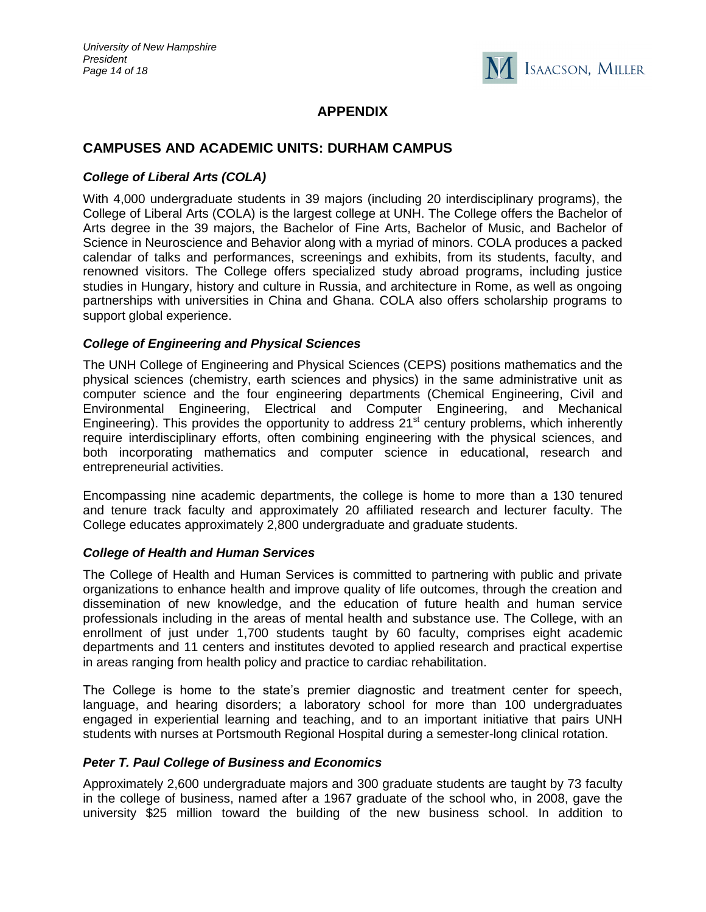

# **APPENDIX**

# **CAMPUSES AND ACADEMIC UNITS: DURHAM CAMPUS**

# *College of Liberal Arts (COLA)*

With 4,000 undergraduate students in 39 majors (including 20 interdisciplinary programs), the College of Liberal Arts (COLA) is the largest college at UNH. The College offers the Bachelor of Arts degree in the 39 majors, the Bachelor of Fine Arts, Bachelor of Music, and Bachelor of Science in Neuroscience and Behavior along with a myriad of minors. COLA produces a packed calendar of talks and performances, screenings and exhibits, from its students, faculty, and renowned visitors. The College offers specialized study abroad programs, including justice studies in Hungary, history and culture in Russia, and architecture in Rome, as well as ongoing partnerships with universities in China and Ghana. COLA also offers scholarship programs to support global experience.

# *College of Engineering and Physical Sciences*

The UNH College of Engineering and Physical Sciences (CEPS) positions mathematics and the physical sciences (chemistry, earth sciences and physics) in the same administrative unit as computer science and the four engineering departments (Chemical Engineering, Civil and Environmental Engineering, Electrical and Computer Engineering, and Mechanical Engineering). This provides the opportunity to address  $21<sup>st</sup>$  century problems, which inherently require interdisciplinary efforts, often combining engineering with the physical sciences, and both incorporating mathematics and computer science in educational, research and entrepreneurial activities.

Encompassing nine academic departments, the college is home to more than a 130 tenured and tenure track faculty and approximately 20 affiliated research and lecturer faculty. The College educates approximately 2,800 undergraduate and graduate students.

# *College of Health and Human Services*

The College of Health and Human Services is committed to partnering with public and private organizations to enhance health and improve quality of life outcomes, through the creation and dissemination of new knowledge, and the education of future health and human service professionals including in the areas of mental health and substance use. The College, with an enrollment of just under 1,700 students taught by 60 faculty, comprises eight academic departments and 11 centers and institutes devoted to applied research and practical expertise in areas ranging from health policy and practice to cardiac rehabilitation.

The College is home to the state's premier diagnostic and treatment center for speech, language, and hearing disorders; a laboratory school for more than 100 undergraduates engaged in experiential learning and teaching, and to an important initiative that pairs UNH students with nurses at Portsmouth Regional Hospital during a semester-long clinical rotation.

# *Peter T. Paul College of Business and Economics*

Approximately 2,600 undergraduate majors and 300 graduate students are taught by 73 faculty in the college of business, named after a 1967 graduate of the school who, in 2008, gave the university \$25 million toward the building of the new business school. In addition to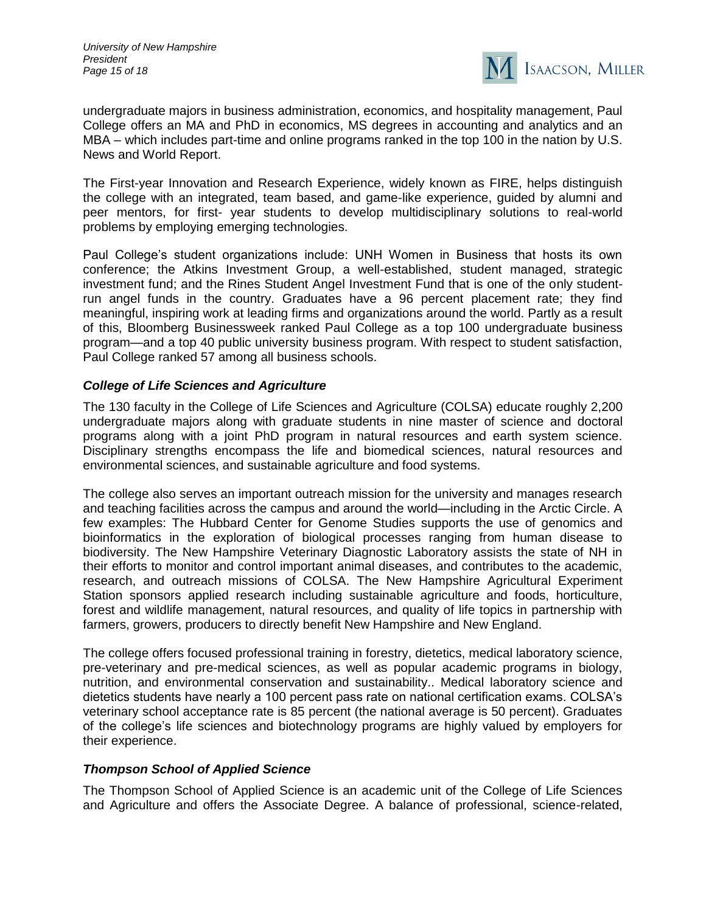

undergraduate majors in business administration, economics, and hospitality management, Paul College offers an MA and PhD in economics, MS degrees in accounting and analytics and an MBA – which includes part-time and online programs ranked in the top 100 in the nation by U.S. News and World Report.

The First-year Innovation and Research Experience, widely known as FIRE, helps distinguish the college with an integrated, team based, and game-like experience, guided by alumni and peer mentors, for first- year students to develop multidisciplinary solutions to real-world problems by employing emerging technologies.

Paul College's student organizations include: UNH Women in Business that hosts its own conference; the Atkins Investment Group, a well-established, student managed, strategic investment fund; and the Rines Student Angel Investment Fund that is one of the only studentrun angel funds in the country. Graduates have a 96 percent placement rate; they find meaningful, inspiring work at leading firms and organizations around the world. Partly as a result of this, Bloomberg Businessweek ranked Paul College as a top 100 undergraduate business program—and a top 40 public university business program. With respect to student satisfaction, Paul College ranked 57 among all business schools.

# *College of Life Sciences and Agriculture*

The 130 faculty in the College of Life Sciences and Agriculture (COLSA) educate roughly 2,200 undergraduate majors along with graduate students in nine master of science and doctoral programs along with a joint PhD program in natural resources and earth system science. Disciplinary strengths encompass the life and biomedical sciences, natural resources and environmental sciences, and sustainable agriculture and food systems.

The college also serves an important outreach mission for the university and manages research and teaching facilities across the campus and around the world—including in the Arctic Circle. A few examples: The Hubbard Center for Genome Studies supports the use of genomics and bioinformatics in the exploration of biological processes ranging from human disease to biodiversity. The New Hampshire Veterinary Diagnostic Laboratory assists the state of NH in their efforts to monitor and control important animal diseases, and contributes to the academic, research, and outreach missions of COLSA. The New Hampshire Agricultural Experiment Station sponsors applied research including sustainable agriculture and foods, horticulture, forest and wildlife management, natural resources, and quality of life topics in partnership with farmers, growers, producers to directly benefit New Hampshire and New England.

The college offers focused professional training in forestry, dietetics, medical laboratory science, pre-veterinary and pre-medical sciences, as well as popular academic programs in biology, nutrition, and environmental conservation and sustainability.. Medical laboratory science and dietetics students have nearly a 100 percent pass rate on national certification exams. COLSA's veterinary school acceptance rate is 85 percent (the national average is 50 percent). Graduates of the college's life sciences and biotechnology programs are highly valued by employers for their experience.

#### *Thompson School of Applied Science*

The Thompson School of Applied Science is an academic unit of the College of Life Sciences and Agriculture and offers the Associate Degree. A balance of professional, science-related,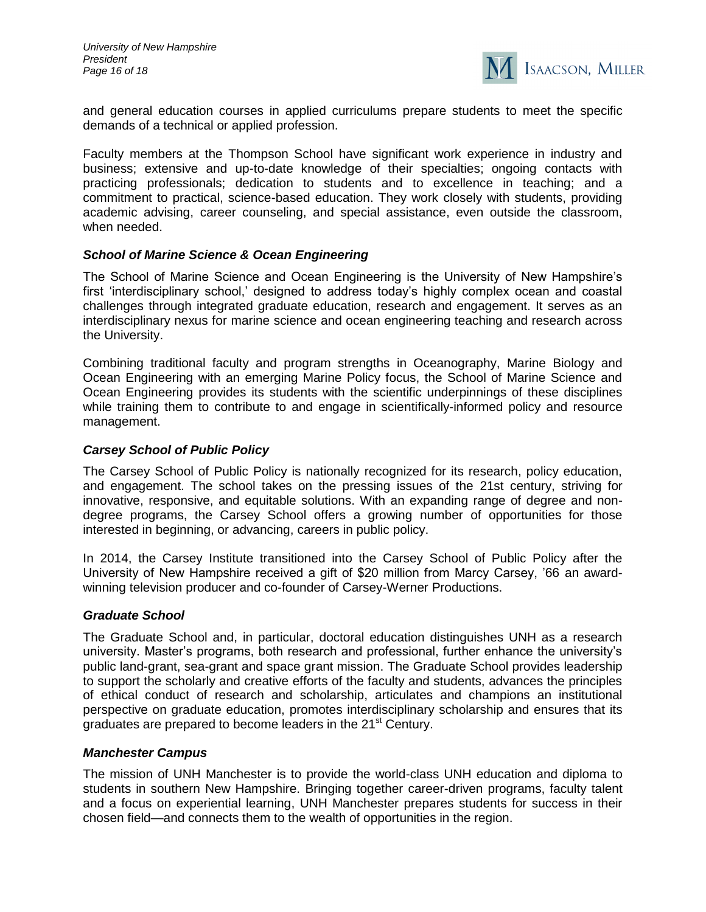

and general education courses in applied curriculums prepare students to meet the specific demands of a technical or applied profession.

Faculty members at the Thompson School have significant work experience in industry and business; extensive and up-to-date knowledge of their specialties; ongoing contacts with practicing professionals; dedication to students and to excellence in teaching; and a commitment to practical, science-based education. They work closely with students, providing academic advising, career counseling, and special assistance, even outside the classroom, when needed.

#### *School of Marine Science & Ocean Engineering*

The School of Marine Science and Ocean Engineering is the University of New Hampshire's first 'interdisciplinary school,' designed to address today's highly complex ocean and coastal challenges through integrated graduate education, research and engagement. It serves as an interdisciplinary nexus for marine science and ocean engineering teaching and research across the University.

Combining traditional faculty and program strengths in Oceanography, Marine Biology and Ocean Engineering with an emerging Marine Policy focus, the School of Marine Science and Ocean Engineering provides its students with the scientific underpinnings of these disciplines while training them to contribute to and engage in scientifically-informed policy and resource management.

#### *Carsey School of Public Policy*

The Carsey School of Public Policy is nationally recognized for its research, policy education, and engagement. The school takes on the pressing issues of the 21st century, striving for innovative, responsive, and equitable solutions. With an expanding range of degree and nondegree programs, the Carsey School offers a growing number of opportunities for those interested in beginning, or advancing, careers in public policy.

In 2014, the Carsey Institute transitioned into the Carsey School of Public Policy after the University of New Hampshire received a gift of \$20 million from Marcy Carsey, '66 an awardwinning television producer and co-founder of Carsey-Werner Productions.

#### *Graduate School*

The Graduate School and, in particular, doctoral education distinguishes UNH as a research university. Master's programs, both research and professional, further enhance the university's public land-grant, sea-grant and space grant mission. The Graduate School provides leadership to support the scholarly and creative efforts of the faculty and students, advances the principles of ethical conduct of research and scholarship, articulates and champions an institutional perspective on graduate education, promotes interdisciplinary scholarship and ensures that its graduates are prepared to become leaders in the 21<sup>st</sup> Century.

#### *Manchester Campus*

The mission of UNH Manchester is to provide the world-class UNH education and diploma to students in southern New Hampshire. Bringing together career-driven programs, faculty talent and a focus on experiential learning, UNH Manchester prepares students for success in their chosen field—and connects them to the wealth of opportunities in the region.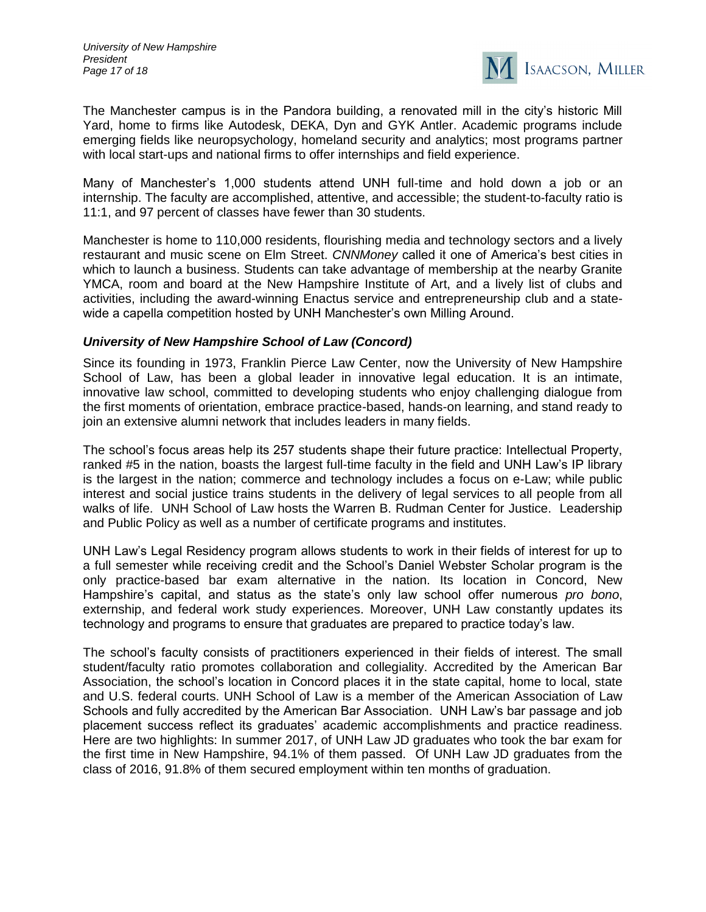

The Manchester campus is in the Pandora building, a renovated mill in the city's historic Mill Yard, home to firms like Autodesk, DEKA, Dyn and GYK Antler. Academic programs include emerging fields like neuropsychology, homeland security and analytics; most programs partner with local start-ups and national firms to offer internships and field experience.

Many of Manchester's 1,000 students attend UNH full-time and hold down a job or an internship. The faculty are accomplished, attentive, and accessible; the student-to-faculty ratio is 11:1, and 97 percent of classes have fewer than 30 students.

Manchester is home to 110,000 residents, flourishing media and technology sectors and a lively restaurant and music scene on Elm Street. *CNNMoney* called it one of America's best cities in which to launch a business. Students can take advantage of membership at the nearby Granite YMCA, room and board at the New Hampshire Institute of Art, and a lively list of clubs and activities, including the award-winning Enactus service and entrepreneurship club and a statewide a capella competition hosted by UNH Manchester's own Milling Around.

# *University of New Hampshire School of Law (Concord)*

Since its founding in 1973, Franklin Pierce Law Center, now the University of New Hampshire School of Law, has been a global leader in innovative legal education. It is an intimate, innovative law school, committed to developing students who enjoy challenging dialogue from the first moments of orientation, embrace practice-based, hands-on learning, and stand ready to join an extensive alumni network that includes leaders in many fields.

The school's focus areas help its 257 students shape their future practice: Intellectual Property, ranked #5 in the nation, boasts the largest full-time faculty in the field and UNH Law's IP library is the largest in the nation; commerce and technology includes a focus on e-Law; while public interest and social justice trains students in the delivery of legal services to all people from all walks of life. UNH School of Law hosts the Warren B. Rudman Center for Justice. Leadership and Public Policy as well as a number of certificate programs and institutes.

UNH Law's Legal Residency program allows students to work in their fields of interest for up to a full semester while receiving credit and the School's Daniel Webster Scholar program is the only practice-based bar exam alternative in the nation. Its location in Concord, New Hampshire's capital, and status as the state's only law school offer numerous *pro bono*, externship, and federal work study experiences. Moreover, UNH Law constantly updates its technology and programs to ensure that graduates are prepared to practice today's law.

The school's faculty consists of practitioners experienced in their fields of interest. The small student/faculty ratio promotes collaboration and collegiality. Accredited by the American Bar Association, the school's location in Concord places it in the state capital, home to local, state and U.S. federal courts. UNH School of Law is a member of the American Association of Law Schools and fully accredited by the American Bar Association. UNH Law's bar passage and job placement success reflect its graduates' academic accomplishments and practice readiness. Here are two highlights: In summer 2017, of UNH Law JD graduates who took the bar exam for the first time in New Hampshire, 94.1% of them passed. Of UNH Law JD graduates from the class of 2016, 91.8% of them secured employment within ten months of graduation.